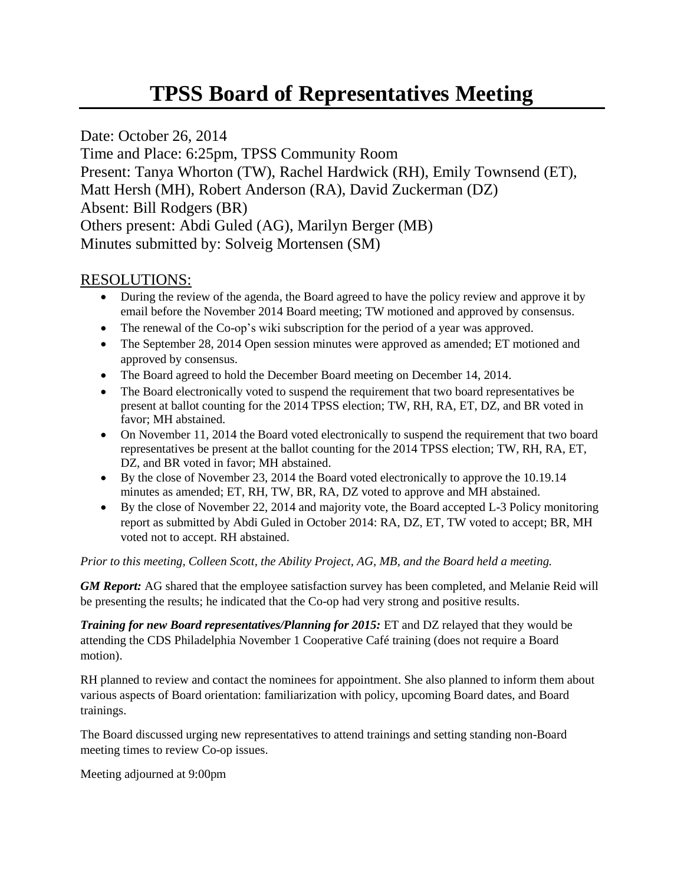## **TPSS Board of Representatives Meeting**

Date: October 26, 2014 Time and Place: 6:25pm, TPSS Community Room Present: Tanya Whorton (TW), Rachel Hardwick (RH), Emily Townsend (ET), Matt Hersh (MH), Robert Anderson (RA), David Zuckerman (DZ) Absent: Bill Rodgers (BR) Others present: Abdi Guled (AG), Marilyn Berger (MB) Minutes submitted by: Solveig Mortensen (SM)

## RESOLUTIONS:

- During the review of the agenda, the Board agreed to have the policy review and approve it by email before the November 2014 Board meeting; TW motioned and approved by consensus.
- The renewal of the Co-op's wiki subscription for the period of a year was approved.
- The September 28, 2014 Open session minutes were approved as amended; ET motioned and approved by consensus.
- The Board agreed to hold the December Board meeting on December 14, 2014.
- The Board electronically voted to suspend the requirement that two board representatives be present at ballot counting for the 2014 TPSS election; TW, RH, RA, ET, DZ, and BR voted in favor; MH abstained.
- On November 11, 2014 the Board voted electronically to suspend the requirement that two board representatives be present at the ballot counting for the 2014 TPSS election; TW, RH, RA, ET, DZ, and BR voted in favor; MH abstained.
- By the close of November 23, 2014 the Board voted electronically to approve the 10.19.14 minutes as amended; ET, RH, TW, BR, RA, DZ voted to approve and MH abstained.
- By the close of November 22, 2014 and majority vote, the Board accepted L-3 Policy monitoring report as submitted by Abdi Guled in October 2014: RA, DZ, ET, TW voted to accept; BR, MH voted not to accept. RH abstained.

*Prior to this meeting, Colleen Scott, the Ability Project, AG, MB, and the Board held a meeting.*

*GM Report:* AG shared that the employee satisfaction survey has been completed, and Melanie Reid will be presenting the results; he indicated that the Co-op had very strong and positive results.

*Training for new Board representatives/Planning for 2015:* ET and DZ relayed that they would be attending the CDS Philadelphia November 1 Cooperative Café training (does not require a Board motion).

RH planned to review and contact the nominees for appointment. She also planned to inform them about various aspects of Board orientation: familiarization with policy, upcoming Board dates, and Board trainings.

The Board discussed urging new representatives to attend trainings and setting standing non-Board meeting times to review Co-op issues.

Meeting adjourned at 9:00pm